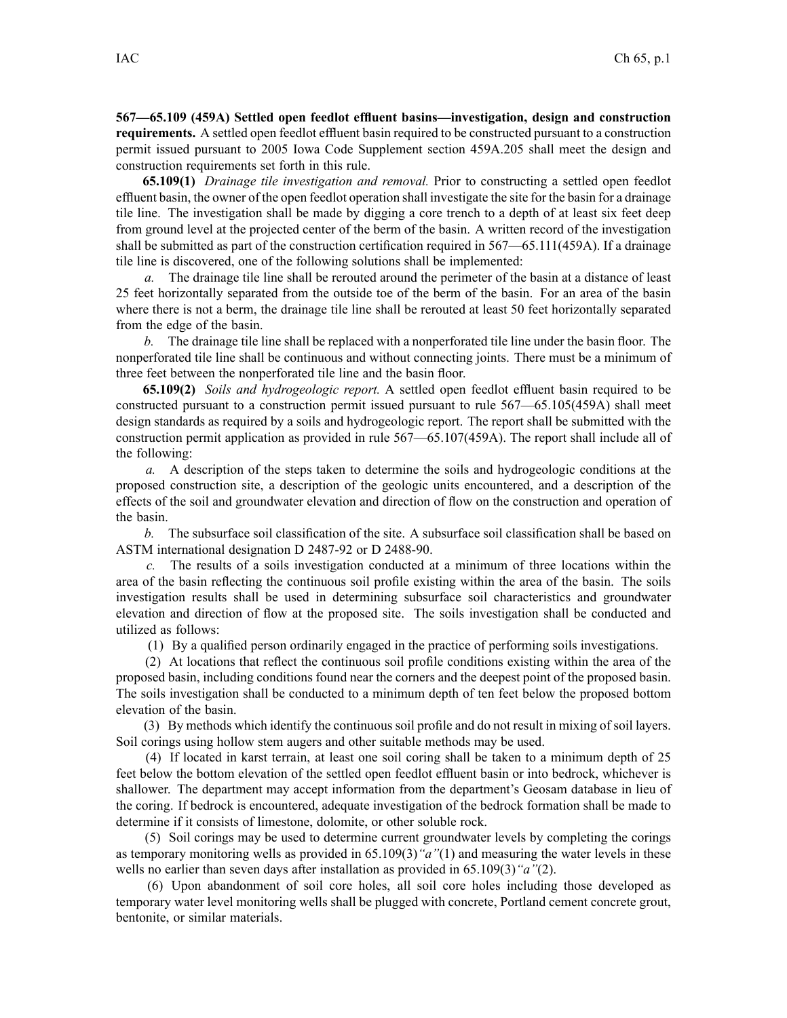**567—65.109 (459A) Settled open feedlot effluent basins—investigation, design and construction requirements.** A settled open feedlot effluent basin required to be constructed pursuan<sup>t</sup> to <sup>a</sup> construction permit issued pursuan<sup>t</sup> to 2005 Iowa Code Supplement section 459A.205 shall meet the design and construction requirements set forth in this rule.

**65.109(1)** *Drainage tile investigation and removal.* Prior to constructing <sup>a</sup> settled open feedlot effluent basin, the owner of the open feedlot operation shall investigate the site for the basin for <sup>a</sup> drainage tile line. The investigation shall be made by digging <sup>a</sup> core trench to <sup>a</sup> depth of at least six feet deep from ground level at the projected center of the berm of the basin. A written record of the investigation shall be submitted as par<sup>t</sup> of the construction certification required in 567—65.111(459A). If <sup>a</sup> drainage tile line is discovered, one of the following solutions shall be implemented:

*a.* The drainage tile line shall be rerouted around the perimeter of the basin at <sup>a</sup> distance of least 25 feet horizontally separated from the outside toe of the berm of the basin. For an area of the basin where there is not a berm, the drainage tile line shall be rerouted at least 50 feet horizontally separated from the edge of the basin.

*b.* The drainage tile line shall be replaced with <sup>a</sup> nonperforated tile line under the basin floor. The nonperforated tile line shall be continuous and without connecting joints. There must be <sup>a</sup> minimum of three feet between the nonperforated tile line and the basin floor.

**65.109(2)** *Soils and hydrogeologic report.* A settled open feedlot effluent basin required to be constructed pursuan<sup>t</sup> to <sup>a</sup> construction permit issued pursuan<sup>t</sup> to rule 567—65.105(459A) shall meet design standards as required by <sup>a</sup> soils and hydrogeologic report. The repor<sup>t</sup> shall be submitted with the construction permit application as provided in rule 567—65.107(459A). The repor<sup>t</sup> shall include all of the following:

*a.* A description of the steps taken to determine the soils and hydrogeologic conditions at the proposed construction site, <sup>a</sup> description of the geologic units encountered, and <sup>a</sup> description of the effects of the soil and groundwater elevation and direction of flow on the construction and operation of the basin.

*b.* The subsurface soil classification of the site. A subsurface soil classification shall be based on ASTM international designation D 2487-92 or D 2488-90.

*c.* The results of <sup>a</sup> soils investigation conducted at <sup>a</sup> minimum of three locations within the area of the basin reflecting the continuous soil profile existing within the area of the basin. The soils investigation results shall be used in determining subsurface soil characteristics and groundwater elevation and direction of flow at the proposed site. The soils investigation shall be conducted and utilized as follows:

(1) By <sup>a</sup> qualified person ordinarily engaged in the practice of performing soils investigations.

(2) At locations that reflect the continuous soil profile conditions existing within the area of the proposed basin, including conditions found near the corners and the deepest point of the proposed basin. The soils investigation shall be conducted to <sup>a</sup> minimum depth of ten feet below the proposed bottom elevation of the basin.

(3) By methods which identify the continuous soil profile and do not result in mixing of soil layers. Soil corings using hollow stem augers and other suitable methods may be used.

(4) If located in karst terrain, at least one soil coring shall be taken to <sup>a</sup> minimum depth of 25 feet below the bottom elevation of the settled open feedlot effluent basin or into bedrock, whichever is shallower. The department may accep<sup>t</sup> information from the department's Geosam database in lieu of the coring. If bedrock is encountered, adequate investigation of the bedrock formation shall be made to determine if it consists of limestone, dolomite, or other soluble rock.

(5) Soil corings may be used to determine current groundwater levels by completing the corings as temporary monitoring wells as provided in 65.109(3)*"a"*(1) and measuring the water levels in these wells no earlier than seven days after installation as provided in 65.109(3)*"a"*(2).

(6) Upon abandonment of soil core holes, all soil core holes including those developed as temporary water level monitoring wells shall be plugged with concrete, Portland cement concrete grout, bentonite, or similar materials.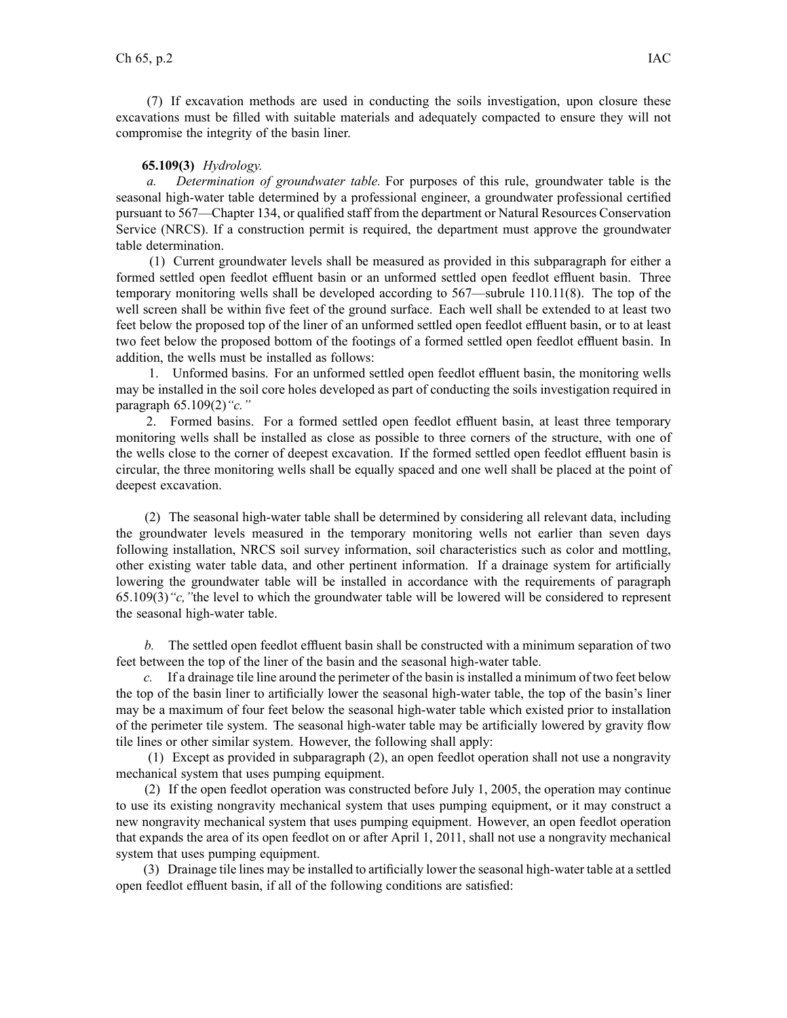(7) If excavation methods are used in conducting the soils investigation, upon closure these excavations must be filled with suitable materials and adequately compacted to ensure they will not compromise the integrity of the basin liner.

## **65.109(3)** *Hydrology.*

*a. Determination of groundwater table.* For purposes of this rule, groundwater table is the seasonal high-water table determined by <sup>a</sup> professional engineer, <sup>a</sup> groundwater professional certified pursuan<sup>t</sup> to 567—Chapter 134, or qualified staff from the department or Natural Resources Conservation Service (NRCS). If <sup>a</sup> construction permit is required, the department must approve the groundwater table determination.

(1) Current groundwater levels shall be measured as provided in this subparagraph for either <sup>a</sup> formed settled open feedlot effluent basin or an unformed settled open feedlot effluent basin. Three temporary monitoring wells shall be developed according to 567—subrule 110.11(8). The top of the well screen shall be within five feet of the ground surface. Each well shall be extended to at least two feet below the proposed top of the liner of an unformed settled open feedlot effluent basin, or to at least two feet below the proposed bottom of the footings of <sup>a</sup> formed settled open feedlot effluent basin. In addition, the wells must be installed as follows:

1. Unformed basins. For an unformed settled open feedlot effluent basin, the monitoring wells may be installed in the soil core holes developed as par<sup>t</sup> of conducting the soils investigation required in paragraph 65.109(2)*"c."*

2. Formed basins. For <sup>a</sup> formed settled open feedlot effluent basin, at least three temporary monitoring wells shall be installed as close as possible to three corners of the structure, with one of the wells close to the corner of deepest excavation. If the formed settled open feedlot effluent basin is circular, the three monitoring wells shall be equally spaced and one well shall be placed at the point of deepest excavation.

(2) The seasonal high-water table shall be determined by considering all relevant data, including the groundwater levels measured in the temporary monitoring wells not earlier than seven days following installation, NRCS soil survey information, soil characteristics such as color and mottling, other existing water table data, and other pertinent information. If <sup>a</sup> drainage system for artificially lowering the groundwater table will be installed in accordance with the requirements of paragraph 65.109(3)*"c,"*the level to which the groundwater table will be lowered will be considered to represen<sup>t</sup> the seasonal high-water table.

*b.* The settled open feedlot effluent basin shall be constructed with <sup>a</sup> minimum separation of two feet between the top of the liner of the basin and the seasonal high-water table.

*c.* If <sup>a</sup> drainage tile line around the perimeter of the basin isinstalled <sup>a</sup> minimum of two feet below the top of the basin liner to artificially lower the seasonal high-water table, the top of the basin's liner may be <sup>a</sup> maximum of four feet below the seasonal high-water table which existed prior to installation of the perimeter tile system. The seasonal high-water table may be artificially lowered by gravity flow tile lines or other similar system. However, the following shall apply:

(1) Except as provided in subparagraph (2), an open feedlot operation shall not use <sup>a</sup> nongravity mechanical system that uses pumping equipment.

(2) If the open feedlot operation was constructed before July 1, 2005, the operation may continue to use its existing nongravity mechanical system that uses pumping equipment, or it may construct <sup>a</sup> new nongravity mechanical system that uses pumping equipment. However, an open feedlot operation that expands the area of its open feedlot on or after April 1, 2011, shall not use <sup>a</sup> nongravity mechanical system that uses pumping equipment.

(3) Drainage tile lines may be installed to artificially lower the seasonal high-water table at <sup>a</sup> settled open feedlot effluent basin, if all of the following conditions are satisfied: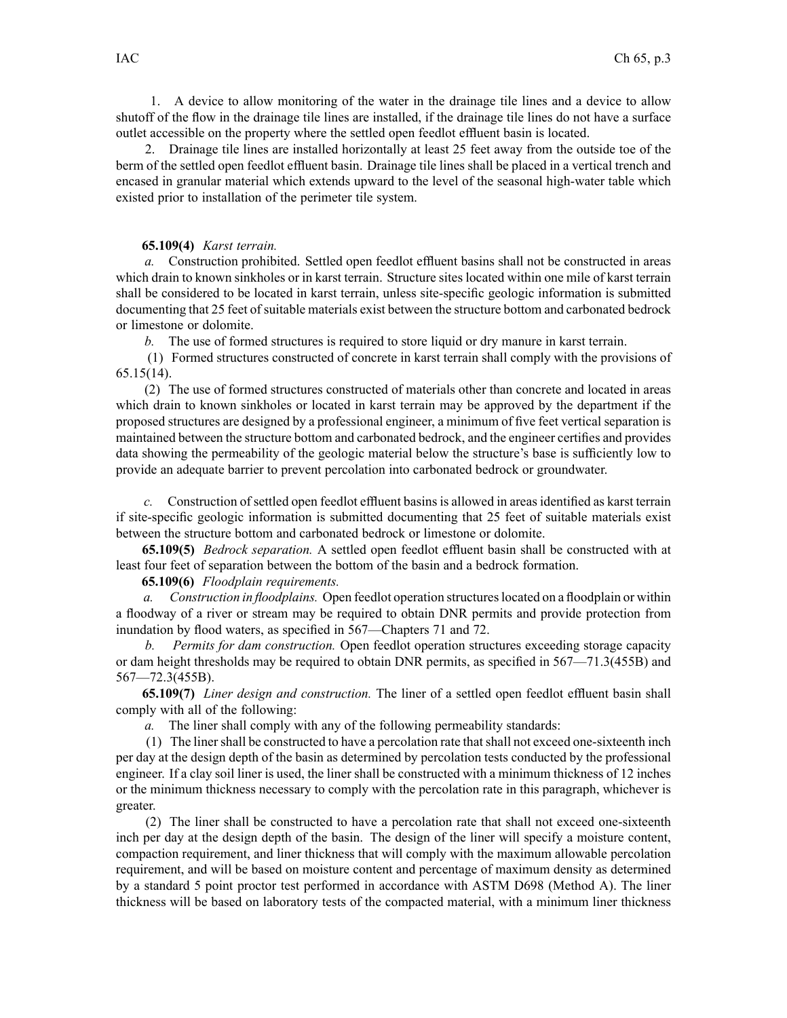1. A device to allow monitoring of the water in the drainage tile lines and <sup>a</sup> device to allow shutoff of the flow in the drainage tile lines are installed, if the drainage tile lines do not have <sup>a</sup> surface outlet accessible on the property where the settled open feedlot effluent basin is located.

2. Drainage tile lines are installed horizontally at least 25 feet away from the outside toe of the berm of the settled open feedlot effluent basin. Drainage tile lines shall be placed in <sup>a</sup> vertical trench and encased in granular material which extends upward to the level of the seasonal high-water table which existed prior to installation of the perimeter tile system.

## **65.109(4)** *Karst terrain.*

*a.* Construction prohibited. Settled open feedlot effluent basins shall not be constructed in areas which drain to known sinkholes or in karst terrain. Structure sites located within one mile of karst terrain shall be considered to be located in karst terrain, unless site-specific geologic information is submitted documenting that 25 feet of suitable materials exist between the structure bottom and carbonated bedrock or limestone or dolomite.

*b.* The use of formed structures is required to store liquid or dry manure in karst terrain.

(1) Formed structures constructed of concrete in karst terrain shall comply with the provisions of 65.15(14).

(2) The use of formed structures constructed of materials other than concrete and located in areas which drain to known sinkholes or located in karst terrain may be approved by the department if the proposed structures are designed by <sup>a</sup> professional engineer, <sup>a</sup> minimum of five feet vertical separation is maintained between the structure bottom and carbonated bedrock, and the engineer certifies and provides data showing the permeability of the geologic material below the structure's base is sufficiently low to provide an adequate barrier to preven<sup>t</sup> percolation into carbonated bedrock or groundwater.

*c.* Construction of settled open feedlot effluent basins is allowed in areas identified as karst terrain if site-specific geologic information is submitted documenting that 25 feet of suitable materials exist between the structure bottom and carbonated bedrock or limestone or dolomite.

**65.109(5)** *Bedrock separation.* A settled open feedlot effluent basin shall be constructed with at least four feet of separation between the bottom of the basin and <sup>a</sup> bedrock formation.

## **65.109(6)** *Floodplain requirements.*

*a. Construction in floodplains.* Open feedlot operation structureslocated on <sup>a</sup> floodplain or within <sup>a</sup> floodway of <sup>a</sup> river or stream may be required to obtain DNR permits and provide protection from inundation by flood waters, as specified in 567—Chapters 71 and 72.

*b. Permits for dam construction.* Open feedlot operation structures exceeding storage capacity or dam height thresholds may be required to obtain DNR permits, as specified in 567—71.3(455B) and 567—72.3(455B).

**65.109(7)** *Liner design and construction.* The liner of <sup>a</sup> settled open feedlot effluent basin shall comply with all of the following:

*a.* The liner shall comply with any of the following permeability standards:

(1) The linershall be constructed to have <sup>a</sup> percolation rate thatshall not exceed one-sixteenth inch per day at the design depth of the basin as determined by percolation tests conducted by the professional engineer. If <sup>a</sup> clay soil liner is used, the liner shall be constructed with <sup>a</sup> minimum thickness of 12 inches or the minimum thickness necessary to comply with the percolation rate in this paragraph, whichever is greater.

(2) The liner shall be constructed to have <sup>a</sup> percolation rate that shall not exceed one-sixteenth inch per day at the design depth of the basin. The design of the liner will specify <sup>a</sup> moisture content, compaction requirement, and liner thickness that will comply with the maximum allowable percolation requirement, and will be based on moisture content and percentage of maximum density as determined by <sup>a</sup> standard 5 point proctor test performed in accordance with ASTM D698 (Method A). The liner thickness will be based on laboratory tests of the compacted material, with <sup>a</sup> minimum liner thickness